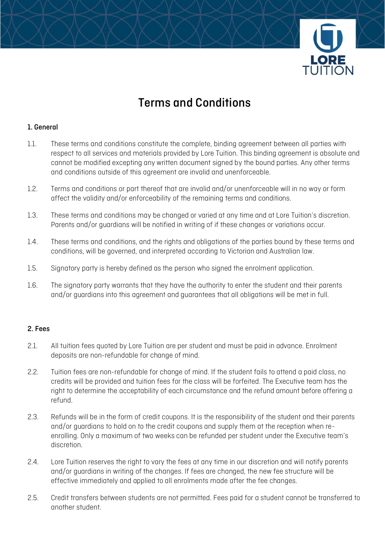

# Terms and Conditions

# 1. General

- 1.1. These terms and conditions constitute the complete, binding agreement between all parties with respect to all services and materials provided by Lore Tuition. This binding agreement is absolute and cannot be modified excepting any written document signed by the bound parties. Any other terms and conditions outside of this agreement are invalid and unenforceable.
- 1.2. Terms and conditions or part thereof that are invalid and/or unenforceable will in no way or form affect the validity and/or enforceability of the remaining terms and conditions.
- 1.3. These terms and conditions may be changed or varied at any time and at Lore Tuition's discretion. Parents and/or guardians will be notified in writing of if these changes or variations occur.
- 1.4. These terms and conditions, and the rights and obligations of the parties bound by these terms and conditions, will be governed, and interpreted according to Victorian and Australian law.
- 1.5. Signatory party is hereby defined as the person who signed the enrolment application.
- 1.6. The signatory party warrants that they have the authority to enter the student and their parents and/or guardians into this agreement and guarantees that all obligations will be met in full.

#### 2. Fees

- 2.1. All tuition fees quoted by Lore Tuition are per student and must be paid in advance. Enrolment deposits are non-refundable for change of mind.
- 2.2. Tuition fees are non-refundable for change of mind. If the student fails to attend a paid class, no credits will be provided and tuition fees for the class will be forfeited. The Executive team has the right to determine the acceptability of each circumstance and the refund amount before offering a refund.
- 2.3. Refunds will be in the form of credit coupons. It is the responsibility of the student and their parents and/or guardians to hold on to the credit coupons and supply them at the reception when reenrolling. Only a maximum of two weeks can be refunded per student under the Executive team's discretion.
- 2.4. Lore Tuition reserves the right to vary the fees at any time in our discretion and will notify parents and/or guardians in writing of the changes. If fees are changed, the new fee structure will be effective immediately and applied to all enrolments made after the fee changes.
- 2.5. Credit transfers between students are not permitted. Fees paid for a student cannot be transferred to another student.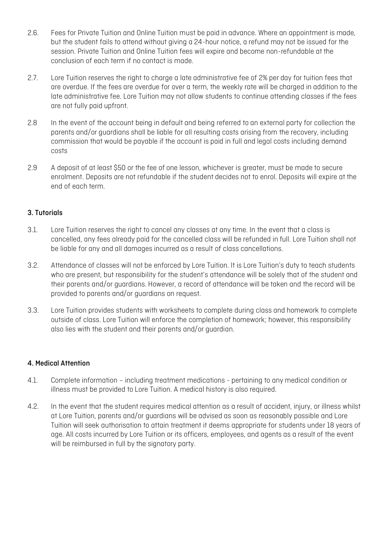- 2.6. Fees for Private Tuition and Online Tuition must be paid in advance. Where an appointment is made, but the student fails to attend without giving a 24-hour notice, a refund may not be issued for the session. Private Tuition and Online Tuition fees will expire and become non-refundable at the conclusion of each term if no contact is made.
- 2.7. Lore Tuition reserves the right to charge a late administrative fee of 2% per day for tuition fees that are overdue. If the fees are overdue for over a term, the weekly rate will be charged in addition to the late administrative fee. Lore Tuition may not allow students to continue attending classes if the fees are not fully paid upfront.
- 2.8 In the event of the account being in default and being referred to an external party for collection the parents and/or guardians shall be liable for all resulting costs arising from the recovery, including commission that would be payable if the account is paid in full and legal costs including demand costs
- 2.9 A deposit of at least \$50 or the fee of one lesson, whichever is greater, must be made to secure enrolment. Deposits are not refundable if the student decides not to enrol. Deposits will expire at the end of each term.

# 3. Tutorials

- 3.1. Lore Tuition reserves the right to cancel any classes at any time. In the event that a class is cancelled, any fees already paid for the cancelled class will be refunded in full. Lore Tuition shall not be liable for any and all damages incurred as a result of class cancellations.
- 3.2. Attendance of classes will not be enforced by Lore Tuition. It is Lore Tuition's duty to teach students who are present, but responsibility for the student's attendance will be solely that of the student and their parents and/or guardians. However, a record of attendance will be taken and the record will be provided to parents and/or guardians on request.
- 3.3. Lore Tuition provides students with worksheets to complete during class and homework to complete outside of class. Lore Tuition will enforce the completion of homework; however, this responsibility also lies with the student and their parents and/or guardian.

#### 4. Medical Attention

- 4.1. Complete information including treatment medications pertaining to any medical condition or illness must be provided to Lore Tuition. A medical history is also required.
- 4.2. In the event that the student requires medical attention as a result of accident, injury, or illness whilst at Lore Tuition, parents and/or guardians will be advised as soon as reasonably possible and Lore Tuition will seek authorisation to attain treatment it deems appropriate for students under 18 years of age. All costs incurred by Lore Tuition or its officers, employees, and agents as a result of the event will be reimbursed in full by the signatory party.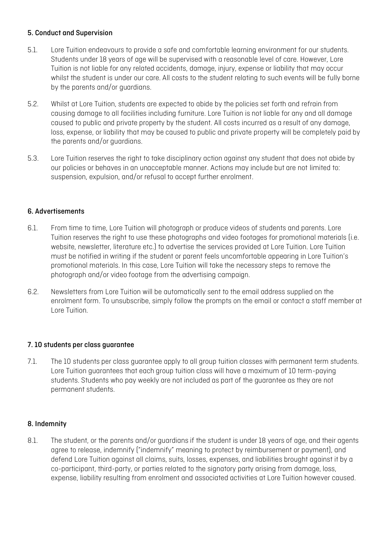# 5. Conduct and Supervision

- 5.1. Lore Tuition endeavours to provide a safe and comfortable learning environment for our students. Students under 18 years of age will be supervised with a reasonable level of care. However, Lore Tuition is not liable for any related accidents, damage, injury, expense or liability that may occur whilst the student is under our care. All costs to the student relating to such events will be fully borne by the parents and/or guardians.
- 5.2. Whilst at Lore Tuition, students are expected to abide by the policies set forth and refrain from causing damage to all facilities including furniture. Lore Tuition is not liable for any and all damage caused to public and private property by the student. All costs incurred as a result of any damage, loss, expense, or liability that may be caused to public and private property will be completely paid by the parents and/or guardians.
- 5.3. Lore Tuition reserves the right to take disciplinary action against any student that does not abide by our policies or behaves in an unacceptable manner. Actions may include but are not limited to: suspension, expulsion, and/or refusal to accept further enrolment.

#### 6. Advertisements

- 6.1. From time to time, Lore Tuition will photograph or produce videos of students and parents. Lore Tuition reserves the right to use these photographs and video footages for promotional materials (i.e. website, newsletter, literature etc.) to advertise the services provided at Lore Tuition. Lore Tuition must be notified in writing if the student or parent feels uncomfortable appearing in Lore Tuition's promotional materials. In this case, Lore Tuition will take the necessary steps to remove the photograph and/or video footage from the advertising campaign.
- 6.2. Newsletters from Lore Tuition will be automatically sent to the email address supplied on the enrolment form. To unsubscribe, simply follow the prompts on the email or contact a staff member at Lore Tuition.

#### 7. 10 students per class guarantee

7.1. The 10 students per class guarantee apply to all group tuition classes with permanent term students. Lore Tuition guarantees that each group tuition class will have a maximum of 10 term-paying students. Students who pay weekly are not included as part of the guarantee as they are not permanent students.

#### 8. Indemnity

8.1. The student, or the parents and/or guardians if the student is under 18 years of age, and their agents agree to release, indemnify ("indemnify" meaning to protect by reimbursement or payment), and defend Lore Tuition against all claims, suits, losses, expenses, and liabilities brought against it by a co-participant, third-party, or parties related to the signatory party arising from damage, loss, expense, liability resulting from enrolment and associated activities at Lore Tuition however caused.